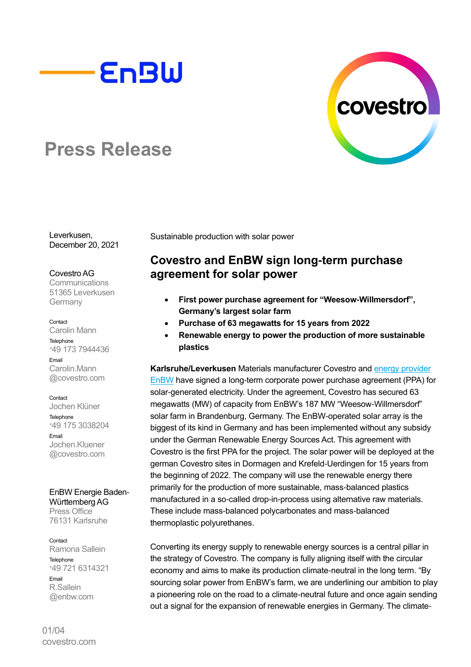



# **Press Release**

Leverkusen, December 20, 2021

Covestro AG

**Communications** 51365 Leverkusen Germany

#### Contact

Carolin Mann **Telephone** <sup>+</sup>49 173 7944436 Email Carolin.Mann @covestro.com

#### Contact

Jochen Klüner **Telephone** <sup>+</sup>49 175 3038204 Email Jochen.Kluener @covestro.com

EnBW Energie Baden-Württemberg AG Press Office 76131 Karlsruhe

Contact

Ramona Sallein **Telephone** <sup>+</sup>49 721 6314321 Email R.Sallein @enbw.com

01/04 covestro.com Sustainable production with solar power

# **Covestro and EnBW sign long-term purchase agreement for solar power**

- **First power purchase agreement for "Weesow-Willmersdorf", Germany's largest solar farm**
- **Purchase of 63 megawatts for 15 years from 2022**
- **Renewable energy to power the production of more sustainable plastics**

**Karlsruhe/Leverkusen** Materials manufacturer Covestro and [energy provider](https://www.enbw.com/company/the-group/)  [EnBW](https://www.enbw.com/company/the-group/) have signed a long-term corporate power purchase agreement (PPA) for solar-generated electricity. Under the agreement, Covestro has secured 63 megawatts (MW) of capacity from EnBW's 187 MW "Weesow-Willmersdorf" solar farm in Brandenburg, Germany. The EnBW-operated solar array is the biggest of its kind in Germany and has been implemented without any subsidy under the German Renewable Energy Sources Act. This agreement with Covestro is the first PPA for the project. The solar power will be deployed at the german Covestro sites in Dormagen and Krefeld-Uerdingen for 15 years from the beginning of 2022. The company will use the renewable energy there primarily for the production of more sustainable, mass-balanced plastics manufactured in a so-called drop-in-process using alternative raw materials. These include mass-balanced polycarbonates and mass-balanced thermoplastic polyurethanes.

Converting its energy supply to renewable energy sources is a central pillar in the strategy of Covestro. The company is fully aligning itself with the circular economy and aims to make its production climate-neutral in the long term. "By sourcing solar power from EnBW's farm, we are underlining our ambition to play a pioneering role on the road to a climate-neutral future and once again sending out a signal for the expansion of renewable energies in Germany. The climate-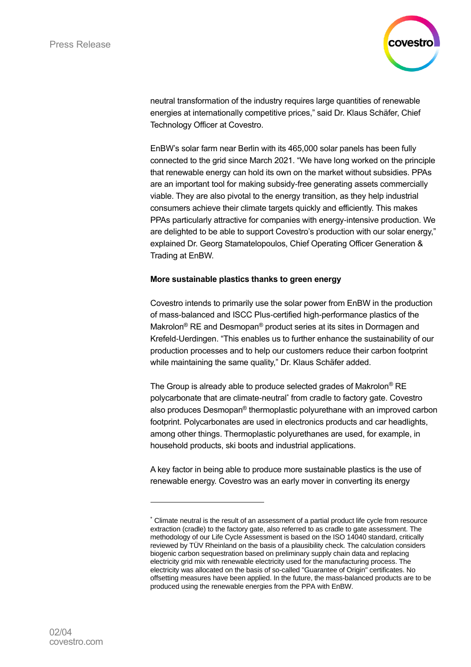

neutral transformation of the industry requires large quantities of renewable energies at internationally competitive prices," said Dr. Klaus Schäfer, Chief Technology Officer at Covestro.

EnBW's solar farm near Berlin with its 465,000 solar panels has been fully connected to the grid since March 2021. "We have long worked on the principle that renewable energy can hold its own on the market without subsidies. PPAs are an important tool for making subsidy-free generating assets commercially viable. They are also pivotal to the energy transition, as they help industrial consumers achieve their climate targets quickly and efficiently. This makes PPAs particularly attractive for companies with energy-intensive production. We are delighted to be able to support Covestro's production with our solar energy," explained Dr. Georg Stamatelopoulos, Chief Operating Officer Generation & Trading at EnBW.

### **More sustainable plastics thanks to green energy**

Covestro intends to primarily use the solar power from EnBW in the production of mass-balanced and ISCC Plus-certified high-performance plastics of the Makrolon® RE and Desmopan® product series at its sites in Dormagen and Krefeld-Uerdingen. "This enables us to further enhance the sustainability of our production processes and to help our customers reduce their carbon footprint while maintaining the same quality," Dr. Klaus Schäfer added.

The Group is already able to produce selected grades of Makrolon® RE polycarbonate that are climate-neutral\* from cradle to factory gate. Covestro also produces Desmopan® thermoplastic polyurethane with an improved carbon footprint. Polycarbonates are used in electronics products and car headlights, among other things. Thermoplastic polyurethanes are used, for example, in household products, ski boots and industrial applications.

A key factor in being able to produce more sustainable plastics is the use of renewable energy. Covestro was an early mover in converting its energy

<sup>\*</sup> Climate neutral is the result of an assessment of a partial product life cycle from resource extraction (cradle) to the factory gate, also referred to as cradle to gate assessment. The methodology of our Life Cycle Assessment is based on the ISO 14040 standard, critically reviewed by TÜV Rheinland on the basis of a plausibility check. The calculation considers biogenic carbon sequestration based on preliminary supply chain data and replacing electricity grid mix with renewable electricity used for the manufacturing process. The electricity was allocated on the basis of so-called "Guarantee of Origin" certificates. No offsetting measures have been applied. In the future, the mass-balanced products are to be produced using the renewable energies from the PPA with EnBW.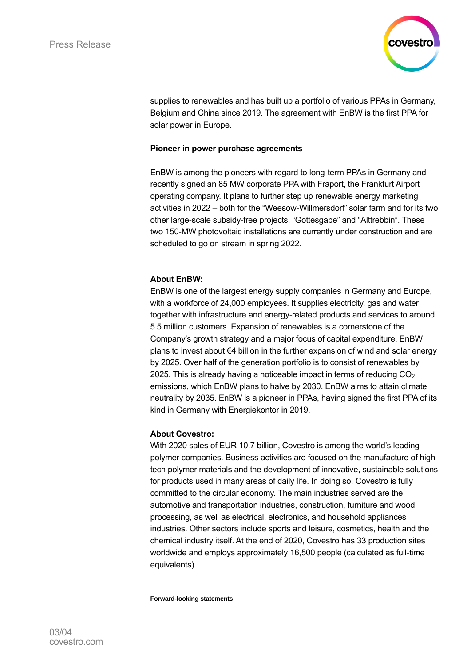

supplies to renewables and has built up a portfolio of various PPAs in Germany, Belgium and China since 2019. The agreement with EnBW is the first PPA for solar power in Europe.

### **Pioneer in power purchase agreements**

EnBW is among the pioneers with regard to long-term PPAs in Germany and recently signed an 85 MW corporate PPA with Fraport, the Frankfurt Airport operating company. It plans to further step up renewable energy marketing activities in 2022 – both for the "Weesow-Willmersdorf" solar farm and for its two other large-scale subsidy-free projects, "Gottesgabe" and "Alttrebbin". These two 150-MW photovoltaic installations are currently under construction and are scheduled to go on stream in spring 2022.

## **About EnBW:**

EnBW is one of the largest energy supply companies in Germany and Europe, with a workforce of 24,000 employees. It supplies electricity, gas and water together with infrastructure and energy-related products and services to around 5.5 million customers. Expansion of renewables is a cornerstone of the Company's growth strategy and a major focus of capital expenditure. EnBW plans to invest about €4 billion in the further expansion of wind and solar energy by 2025. Over half of the generation portfolio is to consist of renewables by 2025. This is already having a noticeable impact in terms of reducing  $CO<sub>2</sub>$ emissions, which EnBW plans to halve by 2030. EnBW aims to attain climate neutrality by 2035. EnBW is a pioneer in PPAs, having signed the first PPA of its kind in Germany with Energiekontor in 2019.

### **About Covestro:**

With 2020 sales of EUR 10.7 billion, Covestro is among the world's leading polymer companies. Business activities are focused on the manufacture of hightech polymer materials and the development of innovative, sustainable solutions for products used in many areas of daily life. In doing so, Covestro is fully committed to the circular economy. The main industries served are the automotive and transportation industries, construction, furniture and wood processing, as well as electrical, electronics, and household appliances industries. Other sectors include sports and leisure, cosmetics, health and the chemical industry itself. At the end of 2020, Covestro has 33 production sites worldwide and employs approximately 16,500 people (calculated as full-time equivalents).

**Forward-looking statements**